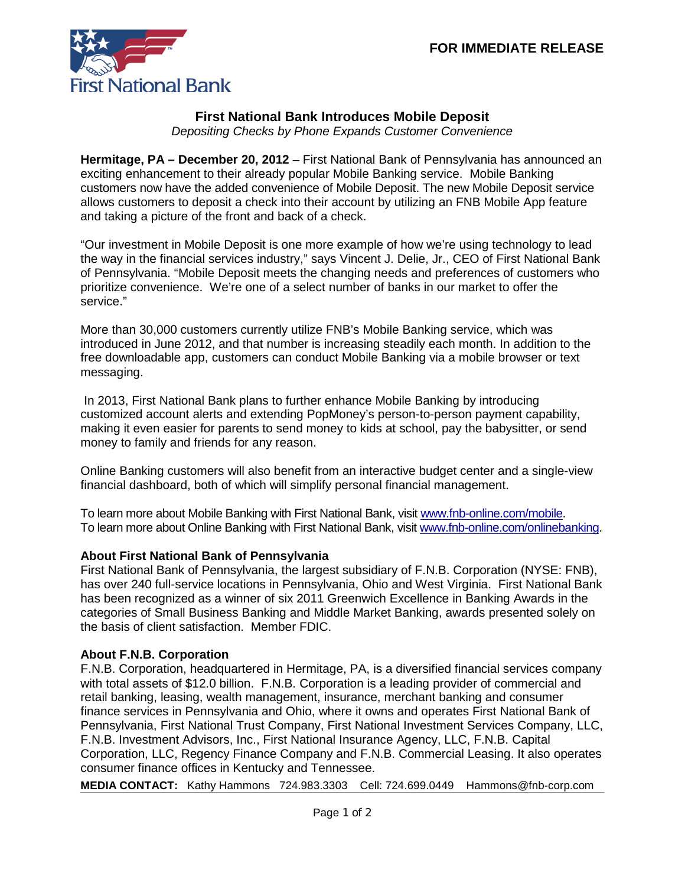

## **First National Bank Introduces Mobile Deposit**

*Depositing Checks by Phone Expands Customer Convenience*

**Hermitage, PA – December 20, 2012** – First National Bank of Pennsylvania has announced an exciting enhancement to their already popular Mobile Banking service. Mobile Banking customers now have the added convenience of Mobile Deposit. The new Mobile Deposit service allows customers to deposit a check into their account by utilizing an FNB Mobile App feature and taking a picture of the front and back of a check.

"Our investment in Mobile Deposit is one more example of how we're using technology to lead the way in the financial services industry," says Vincent J. Delie, Jr., CEO of First National Bank of Pennsylvania. "Mobile Deposit meets the changing needs and preferences of customers who prioritize convenience. We're one of a select number of banks in our market to offer the service."

More than 30,000 customers currently utilize FNB's Mobile Banking service, which was introduced in June 2012, and that number is increasing steadily each month. In addition to the free downloadable app, customers can conduct Mobile Banking via a mobile browser or text messaging.

In 2013, First National Bank plans to further enhance Mobile Banking by introducing customized account alerts and extending PopMoney's person-to-person payment capability, making it even easier for parents to send money to kids at school, pay the babysitter, or send money to family and friends for any reason.

Online Banking customers will also benefit from an interactive budget center and a single-view financial dashboard, both of which will simplify personal financial management.

To learn more about Mobile Banking with First National Bank, visit [www.fnb-online.com/mobile.](http://www.fnb-online.com/mobile) To learn more about Online Banking with First National Bank, visit [www.fnb-online.com/onlinebanking.](http://www.fnb-online.com/onlinebanking)

## **About First National Bank of Pennsylvania**

First National Bank of Pennsylvania, the largest subsidiary of F.N.B. Corporation (NYSE: FNB), has over 240 full-service locations in Pennsylvania, Ohio and West Virginia. First National Bank has been recognized as a winner of six 2011 Greenwich Excellence in Banking Awards in the categories of Small Business Banking and Middle Market Banking, awards presented solely on the basis of client satisfaction. Member FDIC.

## **About F.N.B. Corporation**

F.N.B. Corporation, headquartered in Hermitage, PA, is a diversified financial services company with total assets of \$12.0 billion. F.N.B. Corporation is a leading provider of commercial and retail banking, leasing, wealth management, insurance, merchant banking and consumer finance services in Pennsylvania and Ohio, where it owns and operates First National Bank of Pennsylvania, First National Trust Company, First National Investment Services Company, LLC, F.N.B. Investment Advisors, Inc., First National Insurance Agency, LLC, F.N.B. Capital Corporation, LLC, Regency Finance Company and F.N.B. Commercial Leasing. It also operates consumer finance offices in Kentucky and Tennessee.

**MEDIA CONTACT:** Kathy Hammons 724.983.3303 Cell: 724.699.0449 Hammons@fnb-corp.com